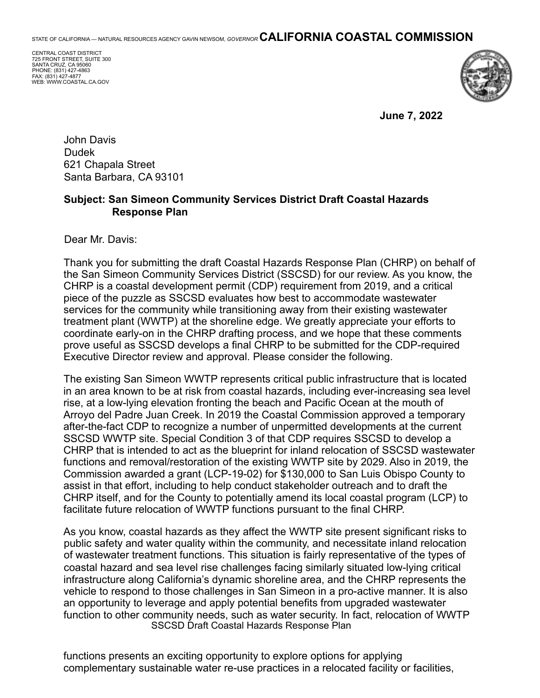STATE OF CALIFORNIA — NATURAL RESOURCES AGENCY GAVIN NEWSOM, *GOVERNOR* **CALIFORNIA COASTAL COMMISSION**

CENTRAL COAST DISTRICT 725 FRONT STREET, SUITE 300 SANTA CRUZ, CA 95060 PHONE: (831) 427-4863 FAX: (831) 427-4877 WEB: WWW.COASTAL.CA.GOV



**June 7, 2022** 

John Davis Dudek 621 Chapala Street Santa Barbara, CA 93101

## **Subject: San Simeon Community Services District Draft Coastal Hazards Response Plan**

Dear Mr. Davis:

Thank you for submitting the draft Coastal Hazards Response Plan (CHRP) on behalf of the San Simeon Community Services District (SSCSD) for our review. As you know, the CHRP is a coastal development permit (CDP) requirement from 2019, and a critical piece of the puzzle as SSCSD evaluates how best to accommodate wastewater services for the community while transitioning away from their existing wastewater treatment plant (WWTP) at the shoreline edge. We greatly appreciate your efforts to coordinate early-on in the CHRP drafting process, and we hope that these comments prove useful as SSCSD develops a final CHRP to be submitted for the CDP-required Executive Director review and approval. Please consider the following.

The existing San Simeon WWTP represents critical public infrastructure that is located in an area known to be at risk from coastal hazards, including ever-increasing sea level rise, at a low-lying elevation fronting the beach and Pacific Ocean at the mouth of Arroyo del Padre Juan Creek. In 2019 the Coastal Commission approved a temporary after-the-fact CDP to recognize a number of unpermitted developments at the current SSCSD WWTP site. Special Condition 3 of that CDP requires SSCSD to develop a CHRP that is intended to act as the blueprint for inland relocation of SSCSD wastewater functions and removal/restoration of the existing WWTP site by 2029. Also in 2019, the Commission awarded a grant (LCP-19-02) for \$130,000 to San Luis Obispo County to assist in that effort, including to help conduct stakeholder outreach and to draft the CHRP itself, and for the County to potentially amend its local coastal program (LCP) to facilitate future relocation of WWTP functions pursuant to the final CHRP.

As you know, coastal hazards as they affect the WWTP site present significant risks to public safety and water quality within the community, and necessitate inland relocation of wastewater treatment functions. This situation is fairly representative of the types of coastal hazard and sea level rise challenges facing similarly situated low-lying critical infrastructure along California's dynamic shoreline area, and the CHRP represents the vehicle to respond to those challenges in San Simeon in a pro-active manner. It is also an opportunity to leverage and apply potential benefits from upgraded wastewater function to other community needs, such as water security. In fact, relocation of WWTP SSCSD Draft Coastal Hazards Response Plan

functions presents an exciting opportunity to explore options for applying complementary sustainable water re-use practices in a relocated facility or facilities,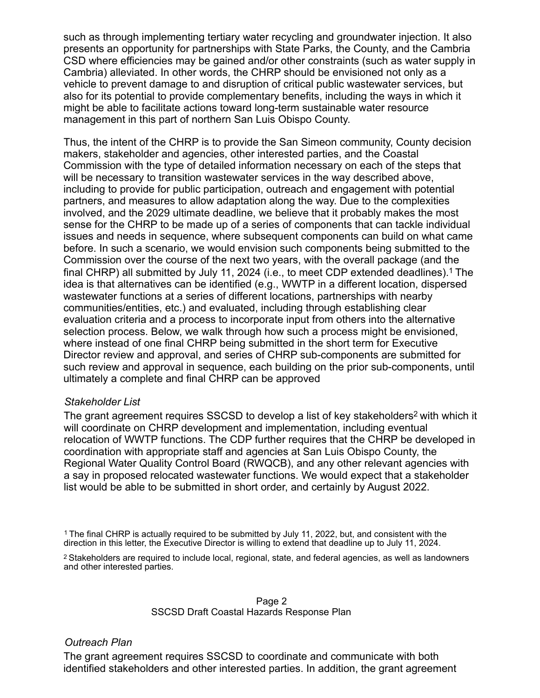such as through implementing tertiary water recycling and groundwater injection. It also presents an opportunity for partnerships with State Parks, the County, and the Cambria CSD where efficiencies may be gained and/or other constraints (such as water supply in Cambria) alleviated. In other words, the CHRP should be envisioned not only as a vehicle to prevent damage to and disruption of critical public wastewater services, but also for its potential to provide complementary benefits, including the ways in which it might be able to facilitate actions toward long-term sustainable water resource management in this part of northern San Luis Obispo County.

Thus, the intent of the CHRP is to provide the San Simeon community, County decision makers, stakeholder and agencies, other interested parties, and the Coastal Commission with the type of detailed information necessary on each of the steps that will be necessary to transition wastewater services in the way described above, including to provide for public participation, outreach and engagement with potential partners, and measures to allow adaptation along the way. Due to the complexities involved, and the 2029 ultimate deadline, we believe that it probably makes the most sense for the CHRP to be made up of a series of components that can tackle individual issues and needs in sequence, where subsequent components can build on what came before. In such a scenario, we would envision such components being submitted to the Commission over the course of the next two years, with the overall package (and the final CHRP) all submitted by July 11, 2024 (i.e., to meet CDP extended deadlines).1 The idea is that alternatives can be identified (e.g., WWTP in a different location, dispersed wastewater functions at a series of different locations, partnerships with nearby communities/entities, etc.) and evaluated, including through establishing clear evaluation criteria and a process to incorporate input from others into the alternative selection process. Below, we walk through how such a process might be envisioned, where instead of one final CHRP being submitted in the short term for Executive Director review and approval, and series of CHRP sub-components are submitted for such review and approval in sequence, each building on the prior sub-components, until ultimately a complete and final CHRP can be approved

## *Stakeholder List*

The grant agreement requires SSCSD to develop a list of key stakeholders<sup>2</sup> with which it will coordinate on CHRP development and implementation, including eventual relocation of WWTP functions. The CDP further requires that the CHRP be developed in coordination with appropriate staff and agencies at San Luis Obispo County, the Regional Water Quality Control Board (RWQCB), and any other relevant agencies with a say in proposed relocated wastewater functions. We would expect that a stakeholder list would be able to be submitted in short order, and certainly by August 2022.

2 Stakeholders are required to include local, regional, state, and federal agencies, as well as landowners and other interested parties.

#### Page 2 SSCSD Draft Coastal Hazards Response Plan

## *Outreach Plan*

The grant agreement requires SSCSD to coordinate and communicate with both identified stakeholders and other interested parties. In addition, the grant agreement

<sup>1</sup> The final CHRP is actually required to be submitted by July 11, 2022, but, and consistent with the direction in this letter, the Executive Director is willing to extend that deadline up to July 11, 2024.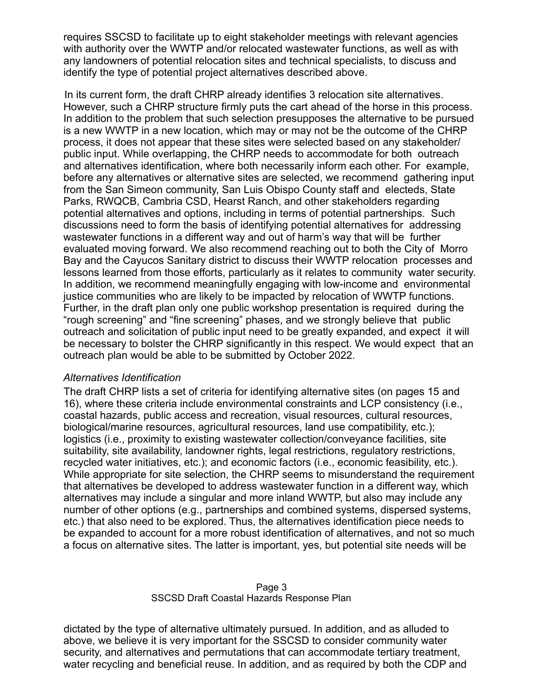requires SSCSD to facilitate up to eight stakeholder meetings with relevant agencies with authority over the WWTP and/or relocated wastewater functions, as well as with any landowners of potential relocation sites and technical specialists, to discuss and identify the type of potential project alternatives described above.

In its current form, the draft CHRP already identifies 3 relocation site alternatives. However, such a CHRP structure firmly puts the cart ahead of the horse in this process. In addition to the problem that such selection presupposes the alternative to be pursued is a new WWTP in a new location, which may or may not be the outcome of the CHRP process, it does not appear that these sites were selected based on any stakeholder/ public input. While overlapping, the CHRP needs to accommodate for both outreach and alternatives identification, where both necessarily inform each other. For example, before any alternatives or alternative sites are selected, we recommend gathering input from the San Simeon community, San Luis Obispo County staff and electeds, State Parks, RWQCB, Cambria CSD, Hearst Ranch, and other stakeholders regarding potential alternatives and options, including in terms of potential partnerships. Such discussions need to form the basis of identifying potential alternatives for addressing wastewater functions in a different way and out of harm's way that will be further evaluated moving forward. We also recommend reaching out to both the City of Morro Bay and the Cayucos Sanitary district to discuss their WWTP relocation processes and lessons learned from those efforts, particularly as it relates to community water security. In addition, we recommend meaningfully engaging with low-income and environmental justice communities who are likely to be impacted by relocation of WWTP functions. Further, in the draft plan only one public workshop presentation is required during the "rough screening" and "fine screening" phases, and we strongly believe that public outreach and solicitation of public input need to be greatly expanded, and expect it will be necessary to bolster the CHRP significantly in this respect. We would expect that an outreach plan would be able to be submitted by October 2022.

## *Alternatives Identification*

The draft CHRP lists a set of criteria for identifying alternative sites (on pages 15 and 16), where these criteria include environmental constraints and LCP consistency (i.e., coastal hazards, public access and recreation, visual resources, cultural resources, biological/marine resources, agricultural resources, land use compatibility, etc.); logistics (i.e., proximity to existing wastewater collection/conveyance facilities, site suitability, site availability, landowner rights, legal restrictions, regulatory restrictions, recycled water initiatives, etc.); and economic factors (i.e., economic feasibility, etc.). While appropriate for site selection, the CHRP seems to misunderstand the requirement that alternatives be developed to address wastewater function in a different way, which alternatives may include a singular and more inland WWTP, but also may include any number of other options (e.g., partnerships and combined systems, dispersed systems, etc.) that also need to be explored. Thus, the alternatives identification piece needs to be expanded to account for a more robust identification of alternatives, and not so much a focus on alternative sites. The latter is important, yes, but potential site needs will be

Page 3 SSCSD Draft Coastal Hazards Response Plan

dictated by the type of alternative ultimately pursued. In addition, and as alluded to above, we believe it is very important for the SSCSD to consider community water security, and alternatives and permutations that can accommodate tertiary treatment, water recycling and beneficial reuse. In addition, and as required by both the CDP and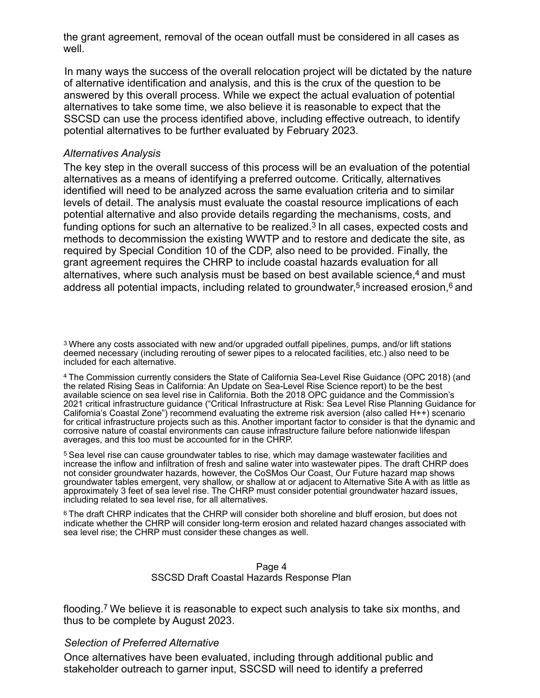the grant agreement, removal of the ocean outfall must be considered in all cases as well.

In many ways the success of the overall relocation project will be dictated by the nature of alternative identification and analysis, and this is the crux of the question to be answered by this overall process. While we expect the actual evaluation of potential alternatives to take some time, we also believe it is reasonable to expect that the SSCSD can use the process identified above, including effective outreach, to identify potential alternatives to be further evaluated by February 2023.

## *Alternatives Analysis*

The key step in the overall success of this process will be an evaluation of the potential alternatives as a means of identifying a preferred outcome. Critically, alternatives identified will need to be analyzed across the same evaluation criteria and to similar levels of detail. The analysis must evaluate the coastal resource implications of each potential alternative and also provide details regarding the mechanisms, costs, and funding options for such an alternative to be realized.<sup>3</sup> In all cases, expected costs and methods to decommission the existing WWTP and to restore and dedicate the site, as required by Special Condition 10 of the CDP, also need to be provided. Finally, the grant agreement requires the CHRP to include coastal hazards evaluation for all alternatives, where such analysis must be based on best available science,<sup>4</sup> and must address all potential impacts, including related to groundwater,<sup>5</sup> increased erosion, $6$  and

3 Where any costs associated with new and/or upgraded outfall pipelines, pumps, and/or lift stations deemed necessary (including rerouting of sewer pipes to a relocated facilities, etc.) also need to be included for each alternative.

4 The Commission currently considers the State of California Sea-Level Rise Guidance (OPC 2018) (and the related Rising Seas in California: An Update on Sea-Level Rise Science report) to be the best available science on sea level rise in California. Both the 2018 OPC guidance and the Commission's 2021 critical infrastructure guidance ("Critical Infrastructure at Risk: Sea Level Rise Planning Guidance for California's Coastal Zone") recommend evaluating the extreme risk aversion (also called H++) scenario for critical infrastructure projects such as this. Another important factor to consider is that the dynamic and corrosive nature of coastal environments can cause infrastructure failure before nationwide lifespan averages, and this too must be accounted for in the CHRP.

5 Sea level rise can cause groundwater tables to rise, which may damage wastewater facilities and increase the inflow and infiltration of fresh and saline water into wastewater pipes. The draft CHRP does not consider groundwater hazards, however, the CoSMos Our Coast, Our Future hazard map shows groundwater tables emergent, very shallow, or shallow at or adjacent to Alternative Site A with as little as approximately 3 feet of sea level rise. The CHRP must consider potential groundwater hazard issues, including related to sea level rise, for all alternatives.

6 The draft CHRP indicates that the CHRP will consider both shoreline and bluff erosion, but does not indicate whether the CHRP will consider long-term erosion and related hazard changes associated with sea level rise; the CHRP must consider these changes as well.

#### Page 4 SSCSD Draft Coastal Hazards Response Plan

flooding.7 We believe it is reasonable to expect such analysis to take six months, and thus to be complete by August 2023.

## *Selection of Preferred Alternative*

Once alternatives have been evaluated, including through additional public and stakeholder outreach to garner input, SSCSD will need to identify a preferred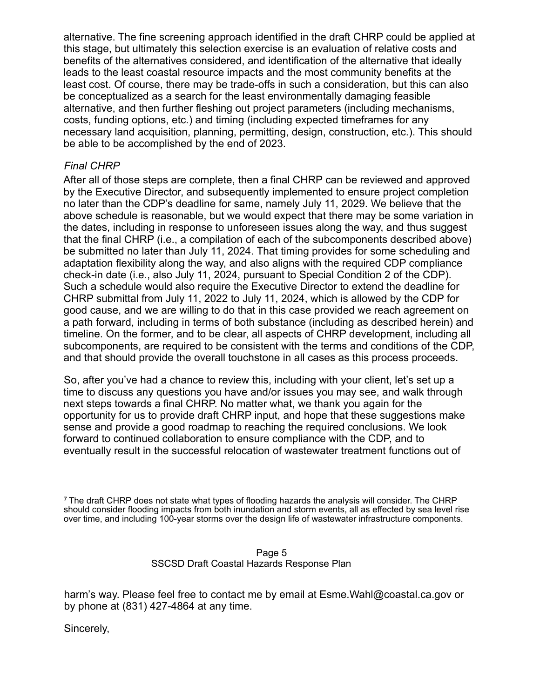alternative. The fine screening approach identified in the draft CHRP could be applied at this stage, but ultimately this selection exercise is an evaluation of relative costs and benefits of the alternatives considered, and identification of the alternative that ideally leads to the least coastal resource impacts and the most community benefits at the least cost. Of course, there may be trade-offs in such a consideration, but this can also be conceptualized as a search for the least environmentally damaging feasible alternative, and then further fleshing out project parameters (including mechanisms, costs, funding options, etc.) and timing (including expected timeframes for any necessary land acquisition, planning, permitting, design, construction, etc.). This should be able to be accomplished by the end of 2023.

# *Final CHRP*

After all of those steps are complete, then a final CHRP can be reviewed and approved by the Executive Director, and subsequently implemented to ensure project completion no later than the CDP's deadline for same, namely July 11, 2029. We believe that the above schedule is reasonable, but we would expect that there may be some variation in the dates, including in response to unforeseen issues along the way, and thus suggest that the final CHRP (i.e., a compilation of each of the subcomponents described above) be submitted no later than July 11, 2024. That timing provides for some scheduling and adaptation flexibility along the way, and also aligns with the required CDP compliance check-in date (i.e., also July 11, 2024, pursuant to Special Condition 2 of the CDP). Such a schedule would also require the Executive Director to extend the deadline for CHRP submittal from July 11, 2022 to July 11, 2024, which is allowed by the CDP for good cause, and we are willing to do that in this case provided we reach agreement on a path forward, including in terms of both substance (including as described herein) and timeline. On the former, and to be clear, all aspects of CHRP development, including all subcomponents, are required to be consistent with the terms and conditions of the CDP, and that should provide the overall touchstone in all cases as this process proceeds.

So, after you've had a chance to review this, including with your client, let's set up a time to discuss any questions you have and/or issues you may see, and walk through next steps towards a final CHRP. No matter what, we thank you again for the opportunity for us to provide draft CHRP input, and hope that these suggestions make sense and provide a good roadmap to reaching the required conclusions. We look forward to continued collaboration to ensure compliance with the CDP, and to eventually result in the successful relocation of wastewater treatment functions out of

7 The draft CHRP does not state what types of flooding hazards the analysis will consider. The CHRP should consider flooding impacts from both inundation and storm events, all as effected by sea level rise over time, and including 100-year storms over the design life of wastewater infrastructure components.

#### Page 5 SSCSD Draft Coastal Hazards Response Plan

harm's way. Please feel free to contact me by email at Esme.Wahl@coastal.ca.gov or by phone at (831) 427-4864 at any time.

Sincerely,